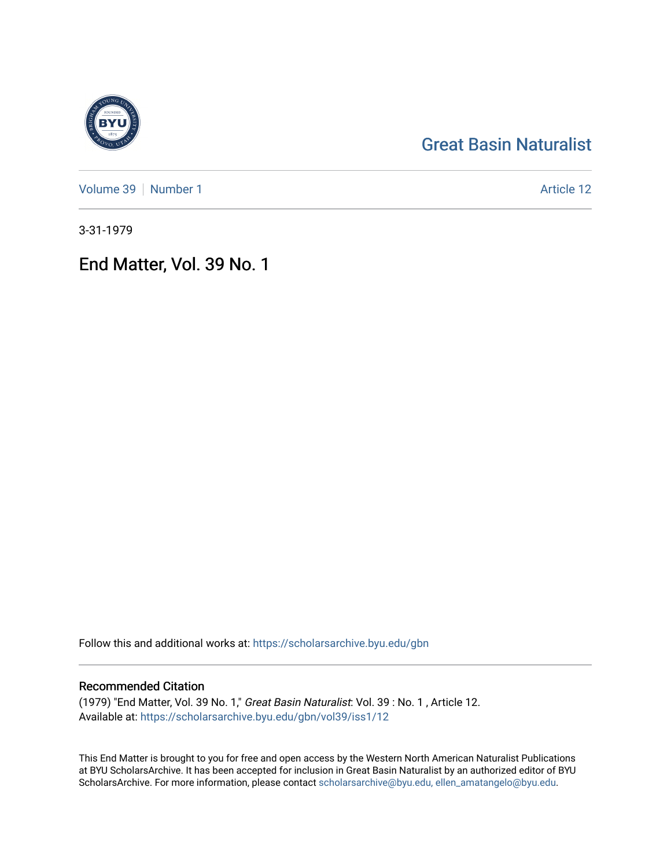# [Great Basin Naturalist](https://scholarsarchive.byu.edu/gbn)

[Volume 39](https://scholarsarchive.byu.edu/gbn/vol39) [Number 1](https://scholarsarchive.byu.edu/gbn/vol39/iss1) Article 12

3-31-1979

End Matter, Vol. 39 No. 1

Follow this and additional works at: [https://scholarsarchive.byu.edu/gbn](https://scholarsarchive.byu.edu/gbn?utm_source=scholarsarchive.byu.edu%2Fgbn%2Fvol39%2Fiss1%2F12&utm_medium=PDF&utm_campaign=PDFCoverPages) 

## Recommended Citation

(1979) "End Matter, Vol. 39 No. 1," Great Basin Naturalist: Vol. 39 : No. 1 , Article 12. Available at: [https://scholarsarchive.byu.edu/gbn/vol39/iss1/12](https://scholarsarchive.byu.edu/gbn/vol39/iss1/12?utm_source=scholarsarchive.byu.edu%2Fgbn%2Fvol39%2Fiss1%2F12&utm_medium=PDF&utm_campaign=PDFCoverPages) 

This End Matter is brought to you for free and open access by the Western North American Naturalist Publications at BYU ScholarsArchive. It has been accepted for inclusion in Great Basin Naturalist by an authorized editor of BYU ScholarsArchive. For more information, please contact [scholarsarchive@byu.edu, ellen\\_amatangelo@byu.edu.](mailto:scholarsarchive@byu.edu,%20ellen_amatangelo@byu.edu)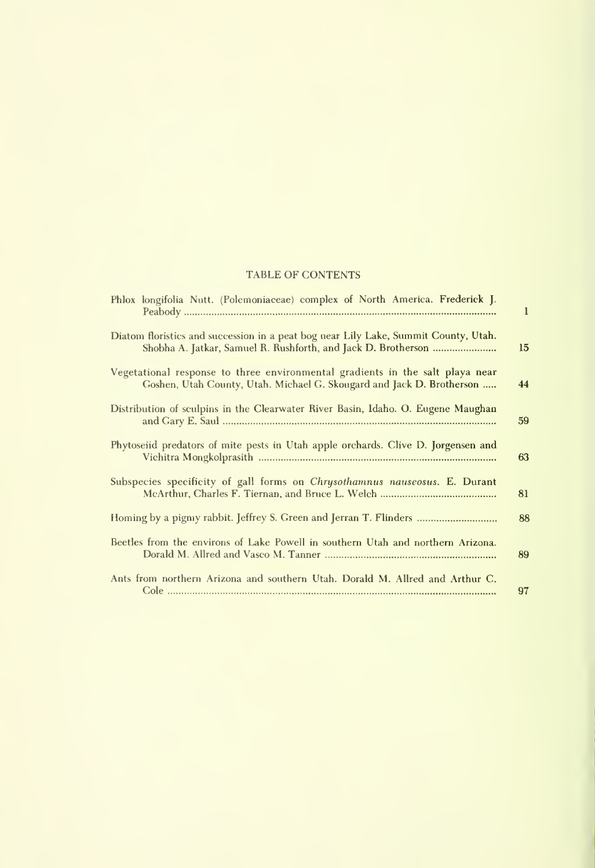### TABLE OF CONTENTS

| Phlox longifolia Nutt. (Polemoniaceae) complex of North America. Frederick J.                                                                          | $\mathbf{I}$ |
|--------------------------------------------------------------------------------------------------------------------------------------------------------|--------------|
| Diatom floristics and succession in a peat bog near Lily Lake, Summit County, Utah.<br>Shobha A. Jatkar, Samuel R. Rushforth, and Jack D. Brotherson   | 15           |
| Vegetational response to three environmental gradients in the salt playa near<br>Goshen, Utah County, Utah. Michael G. Skougard and Jack D. Brotherson | 44           |
| Distribution of sculpins in the Clearwater River Basin, Idaho. O. Eugene Maughan                                                                       | 59           |
| Phytoseiid predators of mite pests in Utah apple orchards. Clive D. Jorgensen and                                                                      | 63           |
| Subspecies specificity of gall forms on <i>Chrysothamnus nauseosus</i> . E. Durant                                                                     | 81           |
| Homing by a pigmy rabbit. Jeffrey S. Green and Jerran T. Flinders                                                                                      | 88           |
| Beetles from the environs of Lake Powell in southern Utah and northern Arizona.                                                                        | 89           |
| Ants from northern Arizona and southern Utah. Dorald M. Allred and Arthur C.                                                                           | 97           |